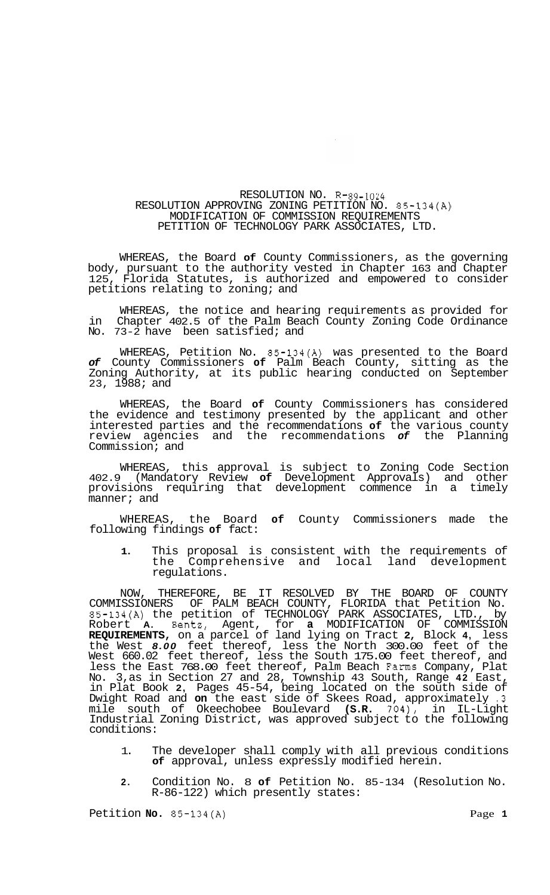## RESOLUTION NO. R-89-1024 RESOLUTION APPROVING ZONING PETITION NO. 85-134(A) MODIFICATION OF COMMISSION REQUIREMENTS PETITION OF TECHNOLOGY PARK ASSOCIATES, LTD.

WHEREAS, the Board **of** County Commissioners, as the governing body, pursuant to the authority vested in Chapter 163 and Chapter 125, Florida Statutes, is authorized and empowered to consider petitions relating to zoning; and

WHEREAS, the notice and hearing requirements as provided for in Chapter 402.5 of the Palm Beach County Zoning Code Ordinance No. 73-2 have been satisfied; and

WHEREAS, Petition No. 85-134(A) was presented to the Board *of* County Commissioners **of** Palm Beach County, sitting as the Zoning Authority, at its public hearing conducted on September 23, 1988; and

WHEREAS, the Board **of** County Commissioners has considered the evidence and testimony presented by the applicant and other interested parties and the recommendations **of** the various county review agencies and the recommendations *of* the Planning Commission; and

WHEREAS, this approval is subject to Zoning Code Section 402.9 (Mandatory Review **of** Development Approvals) and other provisions requiring that development commence in a timely manner; and

of County Commissioners made the following findings **of** fact:

**1.** This proposal is consistent with the requirements of the Comprehensive and local land development regulations.

NOW, THEREFORE, BE IT RESOLVED BY THE BOARD OF COUNTY COMMISSIONERS OF PALM BEACH COUNTY, FLORIDA that Petition No. 85-134(A) the petition of TECHNOLOGY PARK ASSOCIATES, LTD., by Robert **A.** Bentz, Agent, for **a** MODIFICATION OF COMMISSION **REQUIREMENTS,** on a parcel of land lying on Tract **2,** Block **4,** less the West *8.00* feet thereof, less the North 300.00 feet of the West 660.02 feet thereof, less the South 175.00 feet thereof, and less the East 768.00 feet thereof, Palm Beach Farms Company, Plat No. 3,as in Section 27 and 28, Township 43 South, Range **42** East, in Plat Book **2,** Pages 45-54, being located on the south side of Dwight Road and **on** the east side of Skees Road, approximately .3 mile south of Okeechobee Boulevard **(S.R. 704),** in IL-Light Industrial Zoning District, was approved subject to the following conditions:

- 1. The developer shall comply with all previous conditions **of** approval, unless expressly modified herein.
- **2.** Condition No. 8 **of** Petition No. 85-134 (Resolution No. R-86-122) which presently states:

Petition **No. 85-134(A)** Page **1**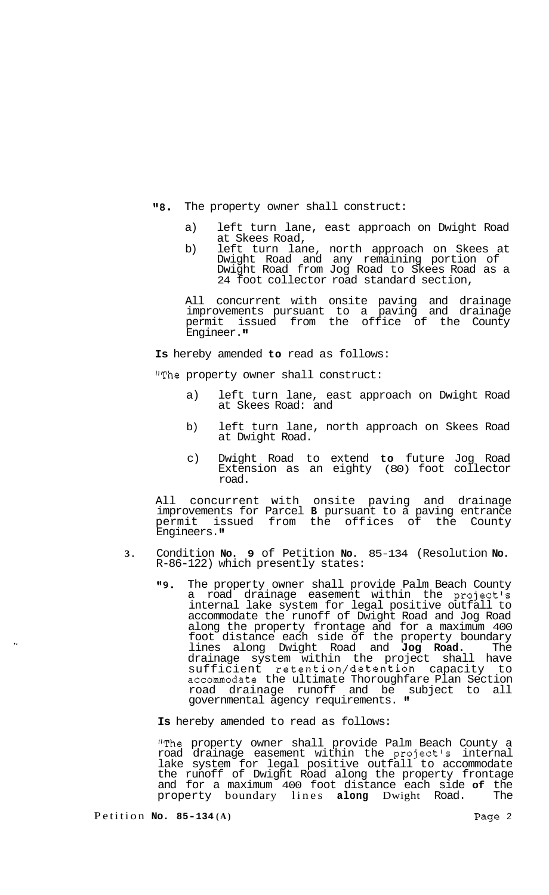118. The property owner shall construct:

- a) left turn lane, east approach on Dwight Road at Skees Road,
- b) left turn lane, north approach on Skees at Dwight Road and any remaining portion of Dwight Road from Jog Road to Skees Road as a 24 foot collector road standard section,

All concurrent with onsite paving and drainage improvements pursuant to a paving and drainage permit issued from the office of the County Engineer. **It** 

**Is** hereby amended **to** read as follows:

"The property owner shall construct:

- a) left turn lane, east approach on Dwight Road at Skees Road: and
- b) left turn lane, north approach on Skees Road at Dwight Road.
- c) Dwight Road to extend **to** future Jog Road Extension as an eighty (80) foot collector road.

All concurrent with onsite paving and drainage improvements for Parcel **B** pursuant to a paving entrance permit issued from the offices of the County Engineers.

- **3.** Condition **No. 9** of Petition **No.** 85-134 (Resolution **No.**  R-86-122) which presently states:
	- **'l9.** The property owner shall provide Palm Beach County a road drainage easement within the project's internal lake system for legal positive outfall to accommodate the runoff of Dwight Road and Jog Road along the property frontage and for a maximum 400 foot distance each side of the property boundary lines along Dwight Road and **Jog Road.** The drainage system within the project shall have sufficient retention/detention capacity to accommodate the ultimate Thoroughfare Plan Section road drainage runoff and be subject to all governmental agency requirements. **If**

**Is** hereby amended to read as follows:

"The property owner shall provide Palm Beach County a road drainage easement within the project's internal lake system for legal positive outfall to accommodate the runoff of Dwight Road along the property frontage and for a maximum 400 foot distance each side **of** the property boundary lines **along** Dwight Road. The

Petition **No. 85-134 (A) Page** 2